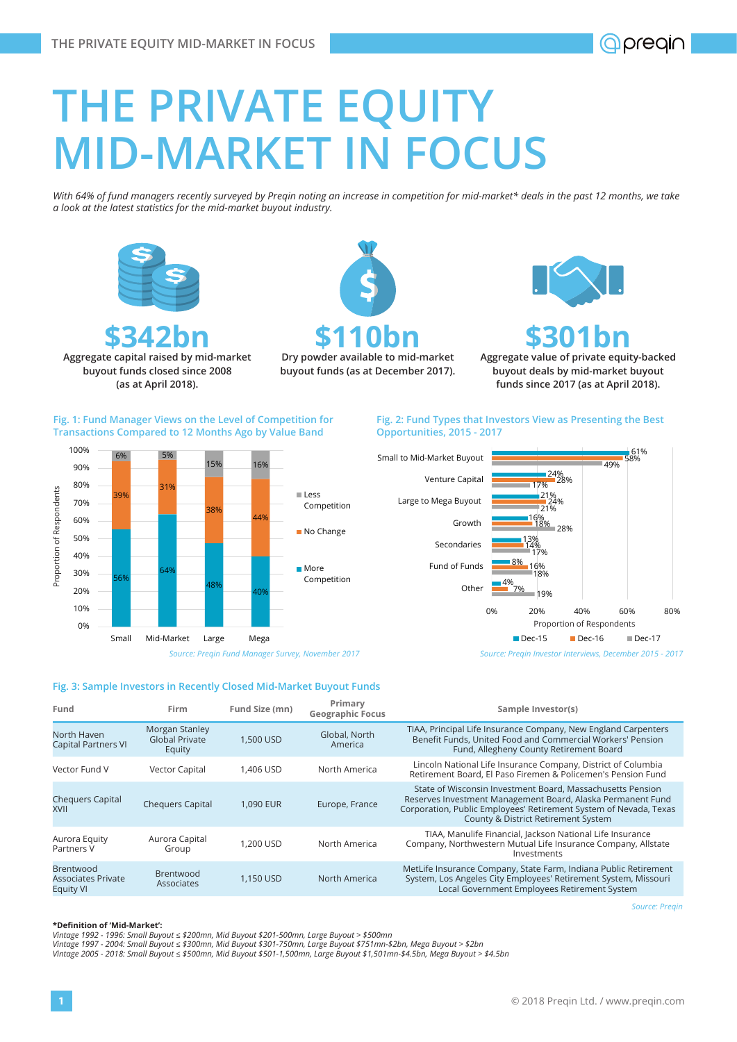# **THE PRIVATE EQUITY MID-MARKET IN FOCUS**

*With 64% of fund managers recently surveyed by Preqin noting an increase in competition for mid-market\* deals in the past 12 months, we take a look at the latest statistics for the mid-market buyout industry.* 



# **\$342bn Aggregate capital raised by mid-market**

**buyout funds closed since 2008 (as at April 2018).** 

6% 5%

56%

0% 10% 20% 30% 40% 50% 60% 70% 80%  $90%$ 100%

Proportion of Respondents

Proportion of Respondents

2Q0

 $54$ 

31%

**\$110bn**<br>Dry powder available to mid-market

**buyout funds (as at December 2017).**

**\$301bn**<br> **Aggregate value of private equity-backed buyout deals by mid-market buyout funds since 2017 (as at April 2018).** 

# **Fig. 1: Fund Manager Views on the Level of Competition for Transactions Compared to 12 Months Ago by Value Band**

### **Fig. 2: Fund Types that Investors View as Presenting the Best Opportunities, 2015 - 2017**



**Fig. 3: Sample Investors in Recently Closed Mid-Market Buyout Funds**

48%

Small Mid-Market Large Mega

38%

15% 16%

40%

44%

Less Competition

More Competition

No Change

| Fund                                                              | Firm                                              | Fund Size (mn) | Primary<br><b>Geographic Focus</b> | Sample Investor(s)                                                                                                                                                                                                                               |  |
|-------------------------------------------------------------------|---------------------------------------------------|----------------|------------------------------------|--------------------------------------------------------------------------------------------------------------------------------------------------------------------------------------------------------------------------------------------------|--|
| North Haven<br><b>Capital Partners VI</b>                         | Morgan Stanley<br><b>Global Private</b><br>Equity | 1.500 USD      | Global, North<br>America           | TIAA, Principal Life Insurance Company, New England Carpenters<br>Benefit Funds, United Food and Commercial Workers' Pension<br>Fund, Allegheny County Retirement Board                                                                          |  |
| Vector Fund V                                                     | <b>Vector Capital</b>                             | 1.406 USD      | North America                      | Lincoln National Life Insurance Company, District of Columbia<br>Retirement Board, El Paso Firemen & Policemen's Pension Fund                                                                                                                    |  |
| <b>Chequers Capital</b><br><b>XVII</b>                            | <b>Chequers Capital</b>                           | 1.090 EUR      | Europe, France                     | State of Wisconsin Investment Board, Massachusetts Pension<br>Reserves Investment Management Board, Alaska Permanent Fund<br>Corporation, Public Employees' Retirement System of Nevada, Texas<br><b>County &amp; District Retirement System</b> |  |
| Aurora Equity<br>Partners V                                       | Aurora Capital<br>Group                           | 1.200 USD      | North America                      | TIAA, Manulife Financial, Jackson National Life Insurance<br>Company, Northwestern Mutual Life Insurance Company, Allstate<br>Investments                                                                                                        |  |
| <b>Brentwood</b><br><b>Associates Private</b><br><b>Equity VI</b> | <b>Brentwood</b><br>Associates                    | 1.150 USD      | North America                      | MetLife Insurance Company, State Farm, Indiana Public Retirement<br>System, Los Angeles City Employees' Retirement System, Missouri<br>Local Government Employees Retirement System                                                              |  |

*Source: Preqin*

#### **\*Definition of 'Mid-Market':**

*Vintage 1992 - 1996: Small Buyout ≤ \$200mn, Mid Buyout \$201-500mn, Large Buyout > \$500mn Vintage 1997 - 2004: Small Buyout ≤ \$300mn, Mid Buyout \$301-750mn, Large Buyout \$751mn-\$2bn, Mega Buyout > \$2bn Vintage 2005 - 2018: Small Buyout ≤ \$500mn, Mid Buyout \$501-1,500mn, Large Buyout \$1,501mn-\$4.5bn, Mega Buyout > \$4.5bn*